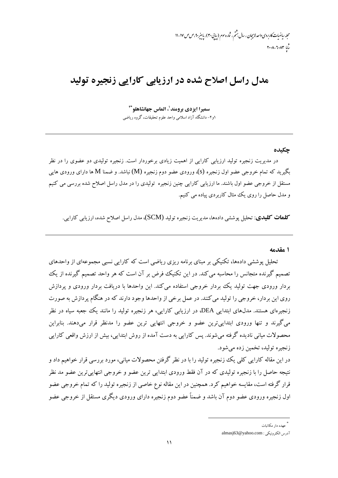محله رماضات کاربردی واحد لاسچان ، سال بهشم ، شاره سوم (سایی۳۰) ، باسر ۴۰،ص ص ۱۷-۱۱  $r \cdot \lambda - \lambda \cdot \lambda r$ 

## مدل راسل اصلاح شده در ارزیابی کارایی زنجیره تولید

سميرا ايزدي برومند<sup>1</sup>، الماس جهانشاهلو<sup>39</sup> ۱و۲- دانشگاه آزاد اسلامی واحد علوم تحقیقات، گروه ریاضی

## حكىدە

در مدیریت زنجیره تولید ارزیابی کارایی از اهمیت زیادی برخوردار است. زنجیره تولیدی دو عضوی را در نظر بگیرید که تمام خروجی عضو اول زنجیره (s)، ورودی عضو دوم زنجیره (M) نباشد. و ضمنا M ها دارای ورودی هایی مستقل از خروجی عضو اول باشند. ما ارزیابی کارایی چنین زنجیره تولیدی را در مدل راسل اصلاح شده بررسی می کنیم و مدل حاصل را روی یک مثال کاربردی پیاده می کنیم.

**کلمات کلیدی**: تحلیل پوششی دادهها، مدیریت زنجیره تولید (SCM)، مدل راسل اصلاح شده، ارزیابی کارایی.

۱ مقدمه

تحلیل یوششی دادهها، تکنیکی بر مبنای برنامه ریزی ریاضی است که کارایی نسبی مجموعهای از واحدهای تصمیم گیرنده متجانس را محاسبه می کند. در این تکنیک فرض بر آن است که هر واحد تصمیم گیرنده از یک بردار ورودی جهت تولید یک بردار خروجی استفاده می کند. این واحدها با دریافت بردار ورودی و پردازش روی این بردار، خروجی را تولید می کنند. در عمل برخی از واحدها وجود دارند که در هنگام پردازش به صورت زنجیرهای هستند. مدلهای ابتدایی DEA، در ارزیابی کارایی، هر زنجیره تولید را مانند یک جعبه سیاه در نظر می گیرند و تنها ورودی ابتداییترین عضو و خروجی انتهایی ترین عضو را مدنظر قرار میدهند. بنابراین محصولات میانی نادیده گرفته می شوند. پس کارایی به دست آمده از روش ابتدایی، بیش از ارزش واقعی کارایی زنجيره توليد، تخمين زده مي شود.

در این مقاله کارایی کلی یک زنجیره تولید را با در نظر گرفتن محصولات میانی، مورد بررسی قرار خواهیم داد و نتیجه حاصل را با زنجیره تولیدی که در آن فقط ورودی ابتدایی ترین عضو و خروجی انتهایی ترین عضو مد نظر .<br>قرار گرفته است، مقایسه خواهیم کرد. همچنین در این مقاله نوع خاصی از زنجیره تولید را که تمام خروجی عضو اول زنجیره ورودی عضو دوم آن باشد و ضمناً عضو دوم زنجیره دارای ورودی دیگری مستقل از خروجی عضو

عهده دار مکاتبات

آدرس الكترونيكي : almasj63@yahoo.com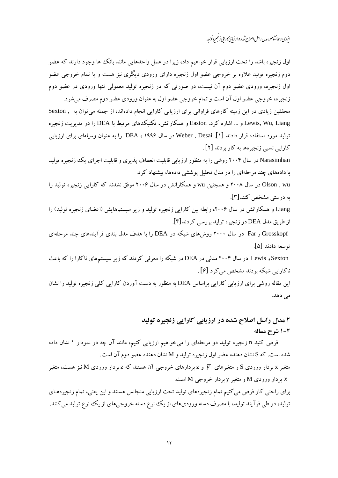ایزدی و حانشاهلو، مدل راسل اصلاح شده در ارزیابی کارایی زنجسره تولید

اول زنجیره باشد را تحت ارزیابی قرار خواهیم داد، زیرا در عمل واحدهایی مانند بانک ها وجود دارند که عضو دوم زنجیره تولید علاوه بر خروجی عضو اول زنجیره دارای ورودی دیگری نیز هست و یا تمام خروجی عضو اول زنجیره، ورودی عضو دوم آن نیست، در صورتی که در زنجیره تولید معمولی تنها ورودی در عضو دوم زنجیره، خروجی عضو اول آن است و تمام خروجی عضو اول به عنوان ورودی عضو دوم مصرف می شود. محققین زیادی در این زمینه کارهای فراوانی برای ارزیابی کارایی انجام دادهاند، از جمله می توان به , Sexton Lewis, Wu, Liang و … اشاره کرد. Easton و همکارانش، تکنیک های مرتبط با DEA را در مدیریت زنجیره تولید مورد استفاده قرار دادند [۱]. Weber , Desai در سال ۱۹۹۶ ، DEA را به عنوان وسیلهای برای ارزیابی کارایی نسبی زنجیرهها به کار بردند [۲] . Narasimhan در سال ۲۰۰۴ روشی را به منظور ارزیابی قابلیت انعطاف پذیری و قابلیت اجرای یک زنجیره تولید با دادههای چند مرحلهای را در مدل تحلیل پوششی دادهها، پیشنهاد کرد. Olson , wu در سال ۲۰۰۸ و همچنین wu و همکارانش در سال ۲۰۰۶ موفق نشدند که کارایی زنجیره تولید را به درستی مشخص کنند [۳]. Liang و همکارانش در سال ۲۰۰۶، رابطه بین کارایی زنجیره تولید و زیر سیستمهایش (اعضای زنجیره تولید) را از طريق مدل DEA در زنجيره توليد بررسي كردند[۴]. Grosskopf و Far در سال ۲۰۰۰ روش های شبکه در DEA را با هدف مدل بندی فرآیندهای چند مرحلهای توسعه دادند [۵]. Sexton و Lewis در سال ۲۰۰۴ مدلی در DEA در شبکه را معرفی کردند که زیر سیستمهای ناکارا را که باعث ناکارایی شبکه بودند مشخص می کرد [۶] . این مقاله روشی برای ارزیابی کارایی براساس DEA به منظور به دست آوردن کارایی کلی زنجیره تولید را نشان

مى دهد.

## ۲ مدل راسل اصلاح شده در ارزیابی کارایی زنجیره تولید 2-1 شرح مساله

فرض کنید n زنجیره تولید دو مرحلهای را میخواهیم ارزیابی کنیم، مانند آن چه در نمودار ۱ نشان داده شده است. كه S نشان دهنده عضو اول زنجيره توليد و M نشان دهنده عضو دوم آن است.

متغیر x بردار ورودی S و متغیرهای  $\overline y$  و z بردارهای خروجی آن هستند که z بردار ورودی M نیز هست، متغیر بر دار ورودی M و متغیر y بر دار خروجی M است.  $\overline{x}$ 

برای راحتی کار فرض می کنیم تمام زنجیرههای تولید تحت ارزیابی متجانس هستند و این یعنی، تمام زنجیرههـای تولید، در طی فرآیند تولید، با مصرف دسته ورودیهای از یک نوع دسته خروجیهای از یک نوع تولید می کنند.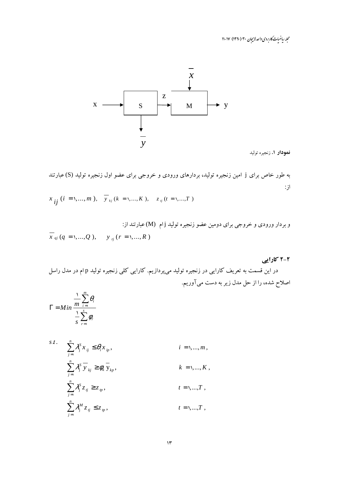مجله رياضيات كاربردي واحد لاسچان ٣٠ (١٣٩٠) ١٧-١١



نمودار 1. زنجيره توليد

به طور خاص برای j امین زنجیره تولید، بردارهای ورودی و خروجی برای عضو اول زنجیره تولید (S) عبارتند از:

$$
x_{ij}
$$
 (*i* = 1,..., *m* ),  $\overline{y}_{kj}$  (*k* = 1,..., *K* ),  $z_{ij}$  (*t* = 1,..., *T* )

e بردار ورودی و خروجی برای دومین عضو زنجیره تولید اُام (M) عبارتند از:  

$$
\overline{x}_{qi} (q = 1,...,Q)
$$
,  $y_{rj} (r = 1,...,R)$ 

۲-۲ کارایی

در این قسمت به تعریف کارایی در زنجیره تولید میپردازیم. کارایی کلی زنجیره تولید p ام در مدل راسل اصلاح شده، را از حل مدل زیر به دست میآوریم.

$$
\Gamma = Min \frac{\frac{1}{m} \sum_{i=1}^{m} \theta_i}{\frac{1}{s} \sum_{r=1}^{s} \phi_r}
$$

$$
s.t. \quad \sum_{j=1}^{n} \lambda_j^S x_{ij} \leq \theta_i x_{ip}, \qquad i = 1, ..., m,
$$
  

$$
\sum_{j=1}^{n} \lambda_j^S \overline{y}_{kj} \geq \phi_k \overline{y}_{kp}, \qquad k = 1, ..., K,
$$
  

$$
\sum_{j=1}^{n} \lambda_j^S z_{ij} \geq z_{ip}, \qquad t = 1, ..., T,
$$
  

$$
\sum_{j=1}^{n} \lambda_j^M z_{ij} \leq z_{ip}, \qquad t = 1, ..., T,
$$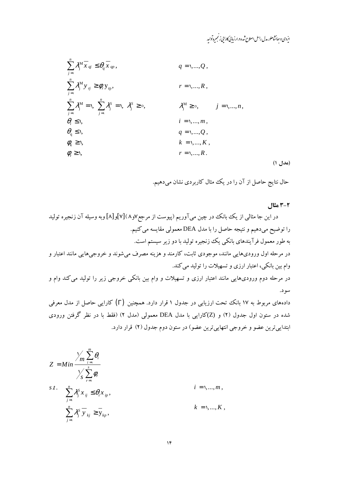ایردی و جانشاهلو، مدل راسل اصلاح شده در ارزیابی کارایی زنجیره تواپد

$$
\sum_{j=1}^{n} \lambda_{j}^{M} \overline{x}_{qj} \leq \theta_{q} \overline{x}_{qp},
$$
\n
$$
q = 1, ..., Q,
$$
\n
$$
\sum_{j=1}^{n} \lambda_{j}^{M} y_{rj} \geq \phi_{r} y_{rp},
$$
\n
$$
r = 1, ..., R,
$$
\n
$$
\sum_{j=1}^{n} \lambda_{j}^{M} = 1, \sum_{j=1}^{n} \lambda_{j}^{S} = 1, \lambda_{j}^{S} \geq 0, \qquad \lambda_{j}^{M} \geq 0, \qquad j = 1, ..., n,
$$
\n
$$
\theta_{i} \leq 1, \qquad i = 1, ..., m,
$$
\n
$$
\theta_{q} \leq 1, \qquad q = 1, ..., Q,
$$
\n
$$
\phi_{k} \geq 1, \qquad k = 1, ..., K,
$$
\n
$$
\phi_{r} \geq 1, \qquad r = 1, ..., R.
$$
\n(1 J4a)

حال نتایج حاصل از آن را در یک مثال کاربردی نشان میدهیم.

۳-۲ مثال

دادههای مربوط به ۱۷ بانک تحت ارزیابی در جدول ۱ قرار دارد. همچنین  $(\Gamma)$  کارایی حاصل از مدل معرفی شده در ستون اول جدول (۲) و (Z)کارایی با مدل DEA معمولی (مدل ۲) (فقط با در نظر گرفتن ورودی ابتداییترین عضو و خروجی انتهاییترین عضو) در ستون دوم جدول (۲) قرار دارد.

$$
Z = Min \frac{\sqrt{m} \sum_{i=1}^{m} \theta_i}{\sqrt{S} \sum_{r=1}^{s} \phi_r}
$$
  

$$
s.t. \sum_{j=1}^{n} \lambda_j^S x_{ij} \leq \theta_i x_{ip},
$$
  

$$
i = 1,..., m,
$$
  

$$
\sum_{j=1}^{n} \lambda_j^S \overline{y}_{kj} \geq \overline{y}_{kp},
$$
  

$$
k = 1,..., K,
$$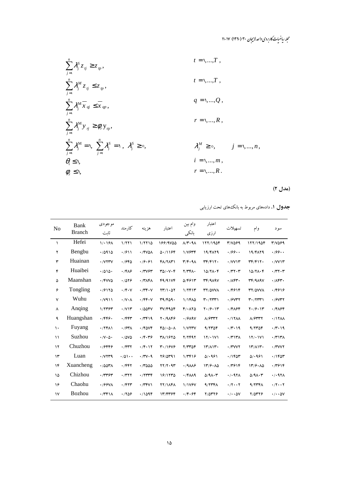مجله رياضيات کاربردی واحد لاہیجان ۳۰ (۱۳۹۰) ۱۷-۱۷

$$
\sum_{j=1}^{n} \lambda_{j}^{S} z_{ij} \ge z_{ip},
$$
\n
$$
t = 1,...,T,
$$
\n
$$
\sum_{j=1}^{n} \lambda_{j}^{M} z_{ij} \le z_{ip},
$$
\n
$$
t = 1,...,T,
$$
\n
$$
t = 1,...,T,
$$
\n
$$
t = 1,...,T,
$$
\n
$$
t = 1,...,T,
$$
\n
$$
t = 1,...,T,
$$
\n
$$
t = 1,...,T,
$$
\n
$$
t = 1,...,T,
$$
\n
$$
t = 1,...,T,
$$
\n
$$
t = 1,...,T,
$$
\n
$$
q = 1,...,Q,
$$
\n
$$
q = 1,...,Q,
$$
\n
$$
r = 1,...,R,
$$
\n
$$
\sum_{j=1}^{n} \lambda_{j}^{M} = 1, \sum_{j=1}^{n} \lambda_{j}^{S} = 1, \lambda_{j}^{S} \ge 0, \qquad \lambda_{j}^{M} \ge 0, \qquad j = 1,...,n,
$$
\n
$$
\theta_{i} \le 1,
$$
\n
$$
t = 1,...,m,
$$
\n
$$
r = 1,...,R.
$$

(مدل ۲)

جدول ۱. دادههای مربوط به بانکههای تحت ارزیابی

| N <sub>o</sub> | Bank<br><b>Branch</b> | موجودي<br>ثاىت                  | كارمند                      | هز ينه                 | اعتبار                    | وام بين<br>بانكى                    | اعتبار<br>ارزى                              | تسهيلات                    | وام                                                             | سو د                                      |
|----------------|-----------------------|---------------------------------|-----------------------------|------------------------|---------------------------|-------------------------------------|---------------------------------------------|----------------------------|-----------------------------------------------------------------|-------------------------------------------|
| ١              | Hefei                 | 1/19A                           | 1/771                       | 1/7710                 | 199/9000                  | $\Lambda/\Upsilon\cdot$ 9 $\Lambda$ | 111/190f                                    | 3/7099                     | 177/190F                                                        | 3/7099                                    |
| ۲              | Bengbu                | .70910                          | .7911                       | <b>./FVQA</b>          | 0.1198                    | $1/VP^{\prime\prime}$               | 19/FAT9                                     | .799.                      | 19/FAT9                                                         | .799.                                     |
| ٣              | Huainan               | $\cdot$ / $V$ $V$ $V$           | .7980                       | .79.91                 | FA/7AT                    | T/F.9 <sub>A</sub>                  | $\mathbf{r} \mathbf{r}/\mathbf{r}$          | $\cdot$ /VVIT              | $\mathbf{r} \mathbf{r}/\mathbf{r}$                              | $\cdot$ /VVIT                             |
| ۴              | Huaibei               | .7010.                          | $\cdot$ /۴۸۶                | ٠/٣٧۶٣                 | $T\Delta/\cdot V\cdot F$  | Y/YFA.                              | $10/7\Lambda\cdot\mathcal{F}$               | $\cdot$ /٣٢ $\cdot$ ٣      | $10/7\Lambda\cdot\mathcal{F}$                                   | $\cdot$ /٣٢ $\cdot$ ٣                     |
| ۵              | Maanshan              | $\cdot$ /FVV $\Delta$           | .7019                       | $\cdot$ /۳۸۴۸          | F9/91VF                   | 0.19911                             | $\mathbf{r}$ $\mathbf{r}$ /919 $\mathbf{v}$ | .784                       | $\mathsf{r}\mathsf{r}/\mathsf{A}\mathsf{A}\mathsf{A}\mathsf{V}$ | $\cdot$ / $\wedge$ $\wedge$ $\wedge$      |
| ۶              | Tongling              | .79170                          | $\cdot$ /۴ $\cdot$ V        | $\cdot$ /۳۴ $\cdot$ V  | $YY/\lambda$ . $\Delta Y$ | 1/7F1T                              | <b>TY/OVVA</b>                              | .79916                     | <b>TY/OVVA</b>                                                  | .79919                                    |
| $\mathsf{v}$   | Wuhu                  | $\cdot$ / $\vee$ 911            | $\cdot$ / $V\cdot$ $\wedge$ | $\cdot$ /۴۴ $\cdot$ V  | T9/F09.                   | $1/1FA\Delta$                       | $\mathbf{r} \cdot \mathbf{r} \mathbf{r}$    | .79YYY                     | $\mathbf{r} \cdot \mathbf{r}$                                   | $\cdot$ / $\gamma$                        |
| ٨              | Anqing                | 1/7797                          | $\cdot$ / $V$               | .7008V                 | $TV/F4\Delta F$           | $F/\cdot \Lambda Y \Delta$          | $Y \cdot 79 \cdot 11$                       | ۰/۴۸۶۴                     | $Y \cdot 79 \cdot 11$                                           | $\cdot$ / $F\Lambda$ ۶۴                   |
| ٩              | Huangshan             | $\cdot$ /۴۴۶ $\cdot$            | $\cdot$ /۴۴۳                | .74919                 | $Y \cdot 19\%$            | $\cdot$ / $9$ $\wedge$ ۹ $\vee$     | A/FYYY                                      | .717AA                     | A/FYYY                                                          | $\cdot$ /17 $\Lambda\Lambda$              |
| $\mathcal{L}$  | Fuyang                | $\cdot$ /٢۴٨١                   | $\cdot$ /۶۳۸                | $\cdot$ /FOVF          | 60/0.04                   | 1/VTYV                              | 9/7706                                      | $\cdot$ /۳ $\cdot$ 19      | 9/7706                                                          | .77.19                                    |
| $\mathcal{L}$  | Suzhou                | $\cdot/\sqrt{\cdot\Delta\cdot}$ | $\cdot$ / $\Delta V \Delta$ | .76.79                 | ٣٨/١۶٢٥                   | 7/7497                              | 11/11                                       | $\cdot$ /٣١٣٨              | 17/11V1                                                         | $\cdot$ /٣١٣٨                             |
| ۱۲             | Chuzhou               | ٬۱۶۴۴۶                          | $\cdot$ $/$ ۴۳۲             | $\cdot$ / $F \cdot 17$ | 4.1909                    | $Y/PP\Delta F$                      | $\Upsilon/\Lambda \Upsilon$                 | $\cdot$ /۳۷۷۲              | $17/\lambda 17.$                                                | $\cdot$ /۳۷۷۲                             |
| $\mathcal{N}$  | Luan                  | .7YY4                           | .701                        | .774.9                 | $Y$ $9/0$ $Y$ $Y$         | 1/PP19                              | 0.1991                                      | .790                       | 0.991                                                           | $.7180$ ۳                                 |
| $\gamma$       | Xuancheng             | $\cdot$ /00٣٨                   | $\cdot$ /۴۴۲                | .7000                  | YY/Y.9Y                   | 4/9                                 | 177.610                                     | ۰/۳۶۱۴                     | 177.00                                                          | .77918                                    |
| ۱۵             | Chizhou               | $\cdot$ /٣٣۶٣                   | $\cdot$ /۳۲۲                | .77779                 | 18/1770                   | $\cdot$ /FAA9                       | $\Delta$ /9 $\Lambda \cdot \tau$            | . / . 97                   | $\Delta$ /9 $\Lambda \cdot \tau$                                | $\cdot$ / $\cdot$ 971                     |
| ۱۶             | Chaohu                | $\cdot$ /99 $\vee$ A            | $\cdot$ /۴۲۳                | $\cdot$ /۳۴۷۱          | <b>TY/11F1</b>            | 1/1797                              | 4/777A                                      | $\cdot$ /۲ $\cdot\cdot$ ۲  | 4/777A                                                          | $\cdot$ / $\cdot$ $\cdot$ $\cdot$ $\cdot$ |
| $\mathsf{v}$   | <b>Bozhou</b>         | .7461A                          | .7809                       | .7098                  | 13/4344                   | $\cdot$ /۴ $\cdot$ ۶۴               | $Y/\Delta Y Y P$                            | $\cdot/\cdot\cdot\Delta V$ | 7/0۳۲۶                                                          | $\cdot/\cdot\cdot\Delta V$                |
|                |                       |                                 |                             |                        |                           |                                     |                                             |                            |                                                                 |                                           |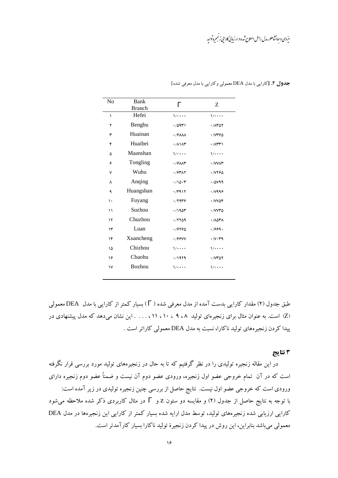انردی و پهانشاهلو، مدل راسل اصلاح شده د. ارزمایی کارایی زنجسره تولید

| N <sub>0</sub> | Bank<br><b>Branch</b> | $\Gamma$                           | Ζ                                    |
|----------------|-----------------------|------------------------------------|--------------------------------------|
| ١              | Hefei                 | $1/$                               | $\sqrt{\cdots}$                      |
| ۲              | Bengbu                | .70911                             | .70707                               |
| ٣              | Huainan               | $\cdot$ / $9$ $\wedge\wedge\wedge$ | 7746                                 |
| ۴              | Huaibei               | $\cdot$ / $\wedge \wedge \wedge$   | $\cdot$ / $\wedge$ $\wedge$ $\wedge$ |
| ۵              | Maanshan              | $1/$                               | $1/$                                 |
| ۶              | Tongling              | $\cdot$ / $9$ $\wedge$             | · / VVAT                             |
| ٧              | Wuhu                  | ٠/۶٣٨٢                             | ٠/٧٢۶٥                               |
| ٨              | Anqing                | .70.7                              | .7049                                |
| ٩              | Huangshan             | .7411                              | .7999                                |
| ١.             | Fuyang                | .7949                              | · / VVOF                             |
| ۱۱             | Suzhou                | .790                               | · / VV۳۵                             |
| ۱۲             | Chuzhou               | .77709                             | ٨٥٣٨ ٠                               |
| ۱۳             | Luan                  | 19790                              | .7999.                               |
| ۱۴             | Xuancheng             | .799YV                             | $\cdot$ / $\vee$ $\cdot$ $\vee$ 9    |
| ۱۵             | Chizhou               | $1/$                               | $1/$                                 |
| ۱۶             | Chaohu                | .71979                             | .70707                               |
| ١٧             | <b>Bozhou</b>         | $1/$                               | $1/$                                 |
|                |                       |                                    |                                      |

جدول ۲. [کارایی با مدل DEA معمولی و کارایی با مدل معرفی شده]

طبق جدول (۲) مقدار کارایی بدست آمده از مدل معرفی شده ( T) بسیار کمتر از کارایی با مدل DEA معمولی (Z) است. به عنوان مثال برای زنجیرهای تولید ۹،۸ ، ۱۹، ۱۱، ۱۱، . . . . این نشان می دهد که مدل پیشنهادی در ییدا کردن زنجیرههای تولید ناکارا، نسبت به مدل DEA معمولی کاراتر است .

## ۳ نتایج

در این مقاله زنجیره تولیدی را در نظر گرفتیم که تا به حال در زنجیرههای تولید مورد بررسی قرار نگرفته است که در آن تمام خروجی عضو اول زنجیره، ورودی عضو دوم آن نیست و ضمناً عضو دوم زنجیره دارای ورودی است که خروجی عضو اول نیست. نتایج حاصل از بررسی چنین زنجیره تولیدی در زیر آمده است: با توجه به نتایج حاصل از جدول (۲) و مقایسه دو ستون Z و  $\Gamma$  در مثال کاربردی ذکر شده ملاحظه می شود کارایی ارزیابی شده زنجیرههای تولید، توسط مدل ارایه شده بسیار کمتر از کارایی این زنجیرهها در مدل DEA معمولی میباشد بنابراین، این روش در پیدا کردن زنجیرهٔ تولید ناکارا بسیار کارآمدتر است.